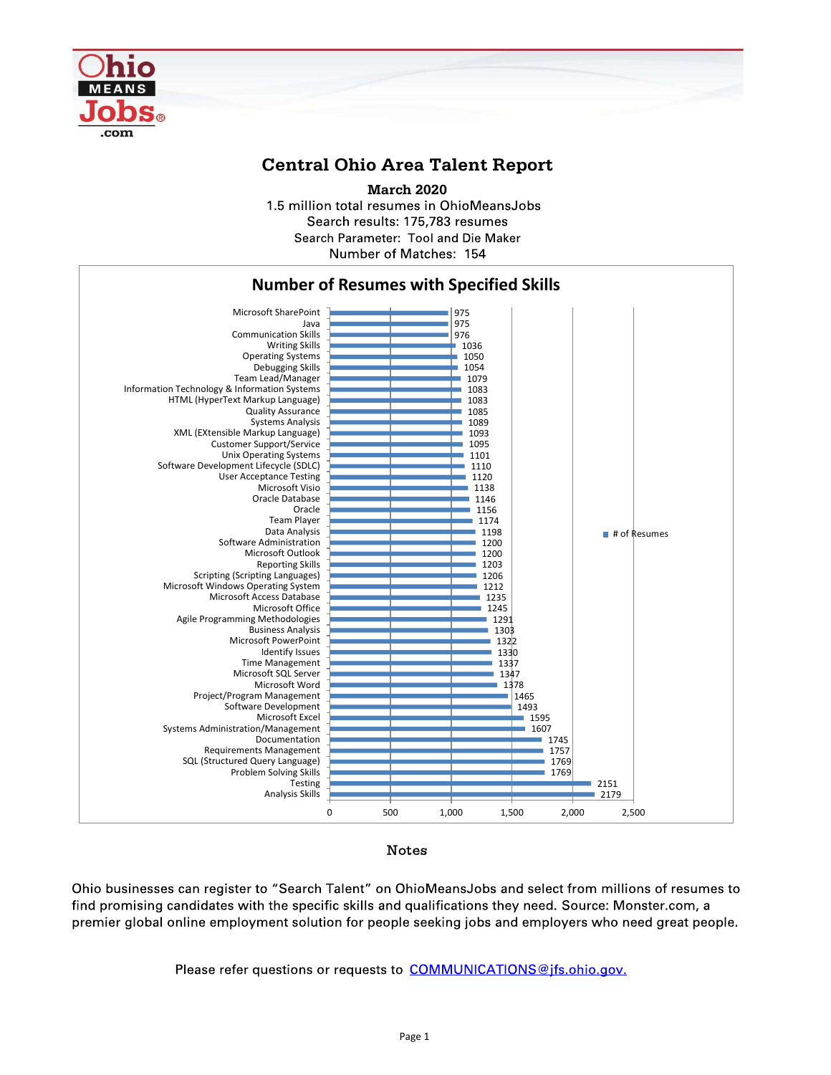

## Central Ohio Area Talent Report

March 2020 1.5 million total resumes in OhioMeansJobs Search results: 175.783 resumes Search Parameter: Tool and Die Maker Number of Matches: 154



## Notes

premier global online employment solution for people seeking jobs and employers who need great people.

Please refer questions or requests to COMMUNICATIONS@jfs.ohio.gov.